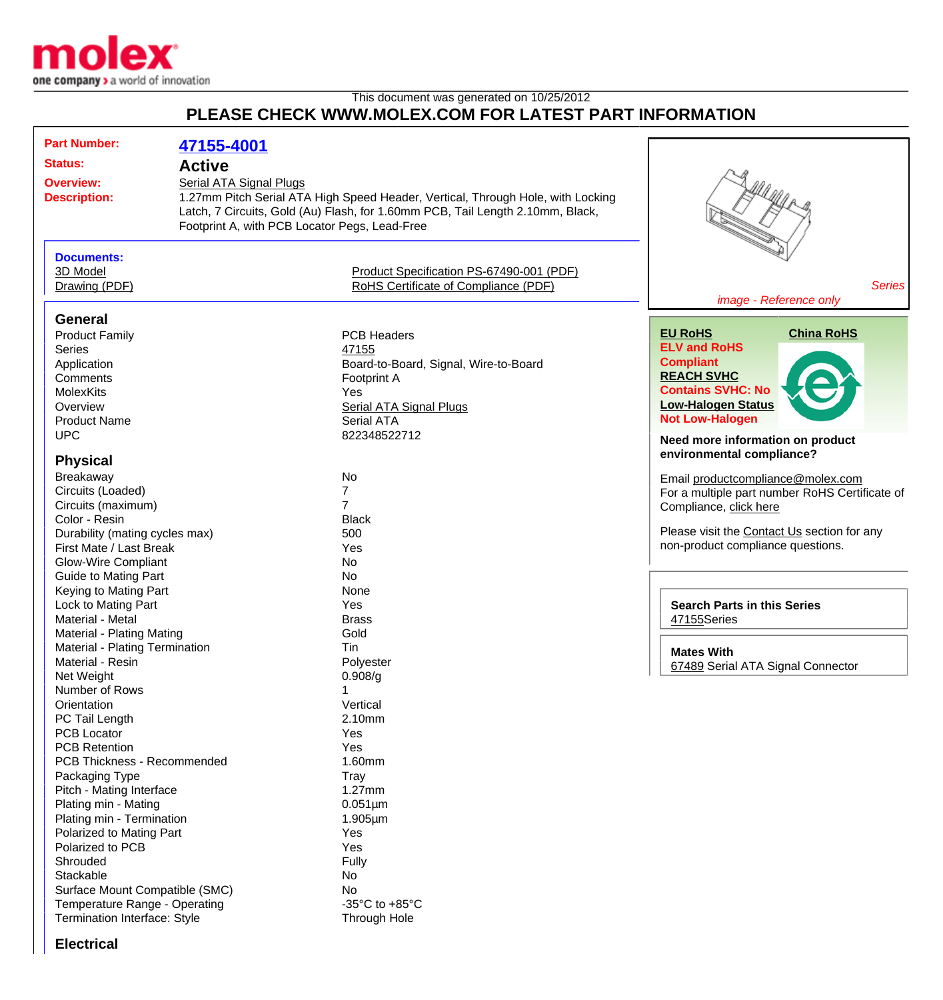

## This document was generated on 10/25/2012 **PLEASE CHECK WWW.MOLEX.COM FOR LATEST PART INFORMATION**

| <b>Part Number:</b>                  | 47155-4001                                    |                                                                                 |                                                |
|--------------------------------------|-----------------------------------------------|---------------------------------------------------------------------------------|------------------------------------------------|
| <b>Status:</b>                       | <b>Active</b>                                 |                                                                                 |                                                |
| <b>Overview:</b>                     | <b>Serial ATA Signal Plugs</b>                |                                                                                 |                                                |
| <b>Description:</b>                  |                                               | 1.27mm Pitch Serial ATA High Speed Header, Vertical, Through Hole, with Locking |                                                |
|                                      |                                               | Latch, 7 Circuits, Gold (Au) Flash, for 1.60mm PCB, Tail Length 2.10mm, Black,  |                                                |
|                                      | Footprint A, with PCB Locator Pegs, Lead-Free |                                                                                 |                                                |
|                                      |                                               |                                                                                 |                                                |
| <b>Documents:</b>                    |                                               |                                                                                 |                                                |
| 3D Model                             |                                               | Product Specification PS-67490-001 (PDF)                                        |                                                |
|                                      |                                               | RoHS Certificate of Compliance (PDF)                                            | <b>Series</b>                                  |
| Drawing (PDF)                        |                                               |                                                                                 | image - Reference only                         |
|                                      |                                               |                                                                                 |                                                |
| <b>General</b>                       |                                               |                                                                                 |                                                |
| <b>Product Family</b>                |                                               | <b>PCB Headers</b>                                                              | <b>EU RoHS</b><br><b>China RoHS</b>            |
| <b>Series</b>                        |                                               | 47155                                                                           | <b>ELV and RoHS</b>                            |
| Application                          |                                               | Board-to-Board, Signal, Wire-to-Board                                           | <b>Compliant</b>                               |
| Comments                             |                                               | Footprint A                                                                     | <b>REACH SVHC</b>                              |
| <b>MolexKits</b>                     |                                               | <b>Yes</b>                                                                      | <b>Contains SVHC: No</b>                       |
| Overview                             |                                               | <b>Serial ATA Signal Plugs</b>                                                  | <b>Low-Halogen Status</b>                      |
| <b>Product Name</b>                  |                                               | Serial ATA                                                                      | <b>Not Low-Halogen</b>                         |
| <b>UPC</b>                           |                                               | 822348522712                                                                    |                                                |
|                                      |                                               |                                                                                 | Need more information on product               |
| <b>Physical</b>                      |                                               |                                                                                 | environmental compliance?                      |
| Breakaway                            |                                               | No                                                                              | Email productcompliance@molex.com              |
| Circuits (Loaded)                    |                                               | 7                                                                               | For a multiple part number RoHS Certificate of |
| Circuits (maximum)                   |                                               | $\overline{7}$                                                                  | Compliance, click here                         |
| Color - Resin                        |                                               | <b>Black</b>                                                                    |                                                |
| Durability (mating cycles max)       |                                               | 500                                                                             | Please visit the Contact Us section for any    |
| First Mate / Last Break              |                                               | Yes                                                                             | non-product compliance questions.              |
| <b>Glow-Wire Compliant</b>           |                                               | <b>No</b>                                                                       |                                                |
| <b>Guide to Mating Part</b>          |                                               | <b>No</b>                                                                       |                                                |
| Keying to Mating Part                |                                               | None                                                                            |                                                |
| Lock to Mating Part                  |                                               | Yes                                                                             | <b>Search Parts in this Series</b>             |
| Material - Metal                     |                                               | <b>Brass</b>                                                                    |                                                |
| Material - Plating Mating            |                                               | Gold                                                                            | 47155Series                                    |
| Material - Plating Termination       |                                               | Tin                                                                             |                                                |
|                                      |                                               |                                                                                 | <b>Mates With</b>                              |
| Material - Resin                     |                                               | Polyester                                                                       | 67489 Serial ATA Signal Connector              |
| Net Weight<br>Number of Rows         |                                               | 0.908/g                                                                         |                                                |
| Orientation                          |                                               | Vertical                                                                        |                                                |
|                                      |                                               | 2.10mm                                                                          |                                                |
| PC Tail Length<br><b>PCB Locator</b> |                                               | Yes                                                                             |                                                |
| <b>PCB Retention</b>                 |                                               | Yes                                                                             |                                                |
| PCB Thickness - Recommended          |                                               | 1.60mm                                                                          |                                                |
|                                      |                                               |                                                                                 |                                                |
| Packaging Type                       |                                               | Tray                                                                            |                                                |
| Pitch - Mating Interface             |                                               | $1.27$ mm                                                                       |                                                |
| Plating min - Mating                 |                                               | $0.051 \mu m$                                                                   |                                                |
| Plating min - Termination            |                                               | $1.905 \mu m$                                                                   |                                                |
| Polarized to Mating Part             |                                               | Yes                                                                             |                                                |
| Polarized to PCB                     |                                               | Yes                                                                             |                                                |
| Shrouded                             |                                               | Fully                                                                           |                                                |
| Stackable                            |                                               | No                                                                              |                                                |
| Surface Mount Compatible (SMC)       |                                               | No                                                                              |                                                |
| Temperature Range - Operating        |                                               | -35 $^{\circ}$ C to +85 $^{\circ}$ C                                            |                                                |
| Termination Interface: Style         |                                               | Through Hole                                                                    |                                                |